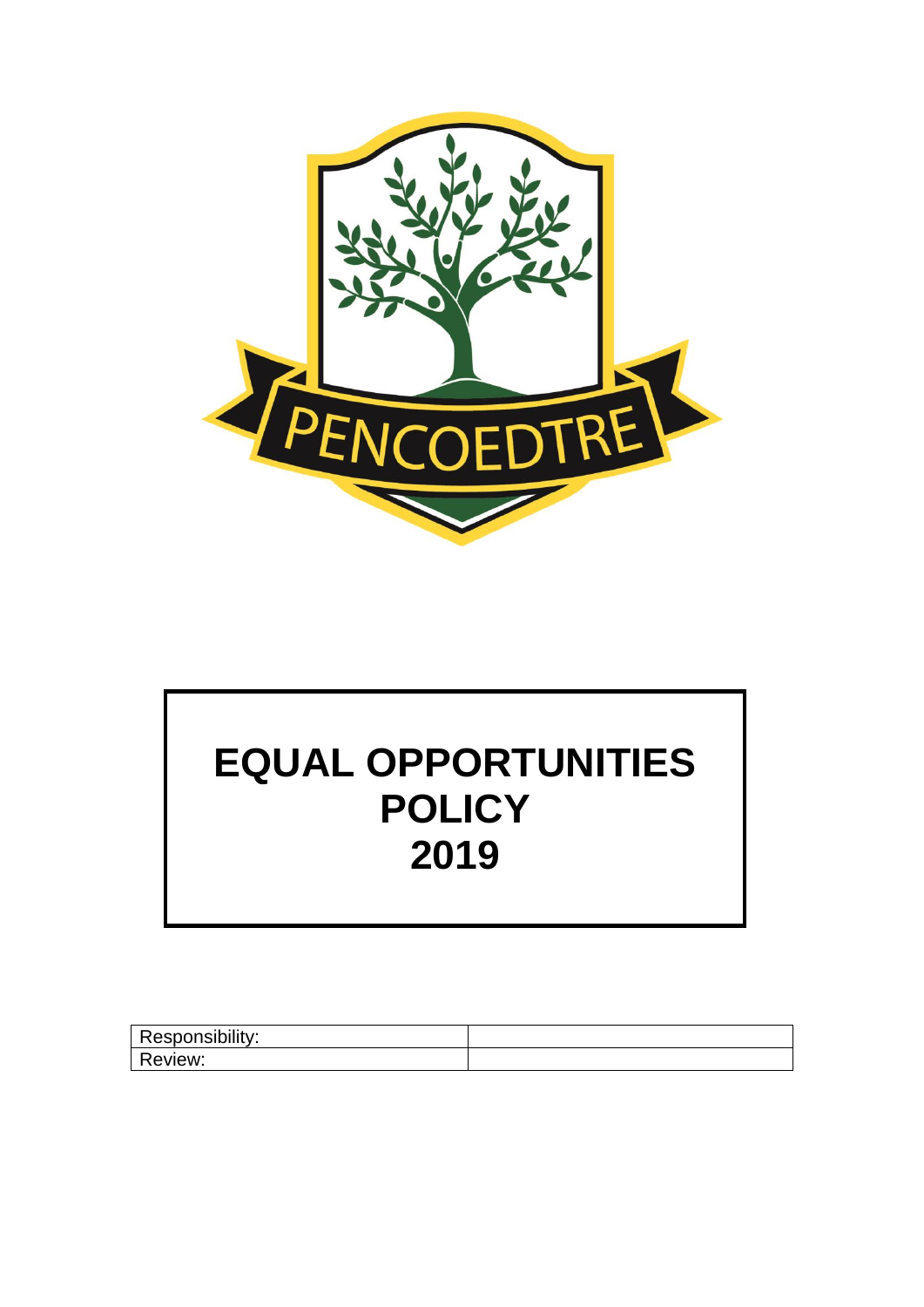

# **EQUAL OPPORTUNITIES POLICY 2019**

| Responsibility: |  |
|-----------------|--|
| Review:         |  |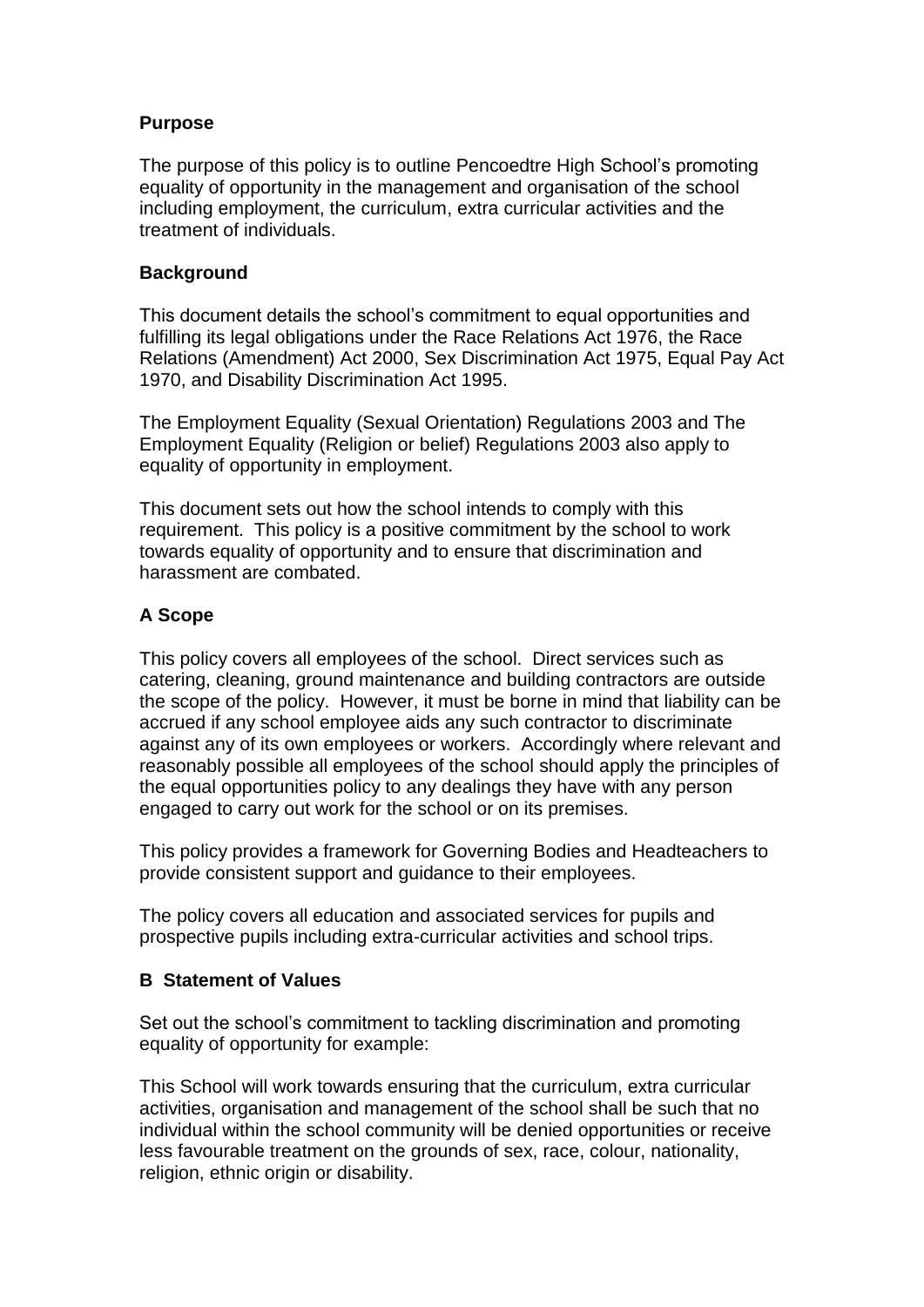#### **Purpose**

The purpose of this policy is to outline Pencoedtre High School's promoting equality of opportunity in the management and organisation of the school including employment, the curriculum, extra curricular activities and the treatment of individuals.

#### **Background**

This document details the school's commitment to equal opportunities and fulfilling its legal obligations under the Race Relations Act 1976, the Race Relations (Amendment) Act 2000, Sex Discrimination Act 1975, Equal Pay Act 1970, and Disability Discrimination Act 1995.

The Employment Equality (Sexual Orientation) Regulations 2003 and The Employment Equality (Religion or belief) Regulations 2003 also apply to equality of opportunity in employment.

This document sets out how the school intends to comply with this requirement. This policy is a positive commitment by the school to work towards equality of opportunity and to ensure that discrimination and harassment are combated.

# **A Scope**

This policy covers all employees of the school. Direct services such as catering, cleaning, ground maintenance and building contractors are outside the scope of the policy. However, it must be borne in mind that liability can be accrued if any school employee aids any such contractor to discriminate against any of its own employees or workers. Accordingly where relevant and reasonably possible all employees of the school should apply the principles of the equal opportunities policy to any dealings they have with any person engaged to carry out work for the school or on its premises.

This policy provides a framework for Governing Bodies and Headteachers to provide consistent support and guidance to their employees.

The policy covers all education and associated services for pupils and prospective pupils including extra-curricular activities and school trips.

#### **B Statement of Values**

Set out the school's commitment to tackling discrimination and promoting equality of opportunity for example:

This School will work towards ensuring that the curriculum, extra curricular activities, organisation and management of the school shall be such that no individual within the school community will be denied opportunities or receive less favourable treatment on the grounds of sex, race, colour, nationality, religion, ethnic origin or disability.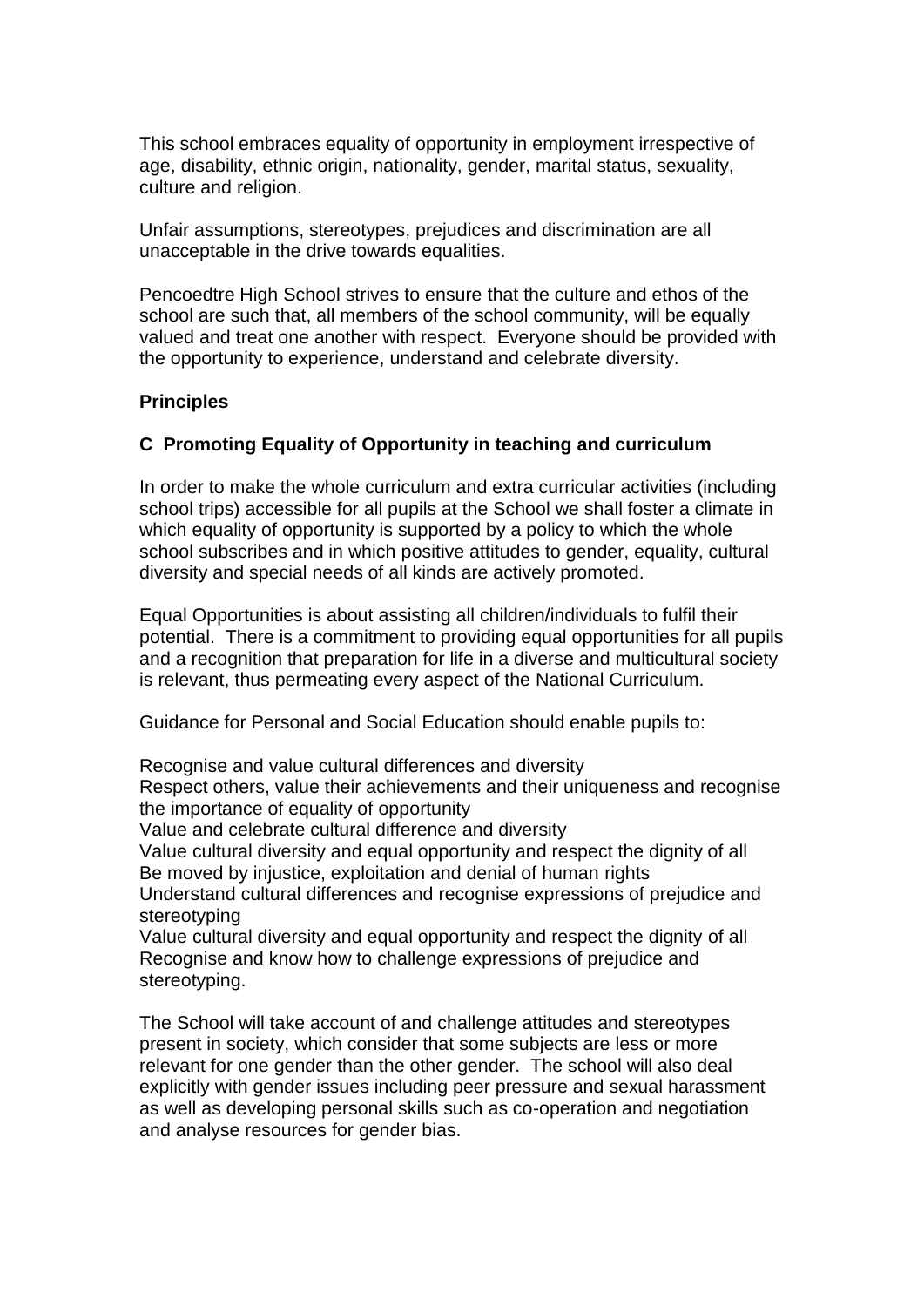This school embraces equality of opportunity in employment irrespective of age, disability, ethnic origin, nationality, gender, marital status, sexuality, culture and religion.

Unfair assumptions, stereotypes, prejudices and discrimination are all unacceptable in the drive towards equalities.

Pencoedtre High School strives to ensure that the culture and ethos of the school are such that, all members of the school community, will be equally valued and treat one another with respect. Everyone should be provided with the opportunity to experience, understand and celebrate diversity.

#### **Principles**

#### **C Promoting Equality of Opportunity in teaching and curriculum**

In order to make the whole curriculum and extra curricular activities (including school trips) accessible for all pupils at the School we shall foster a climate in which equality of opportunity is supported by a policy to which the whole school subscribes and in which positive attitudes to gender, equality, cultural diversity and special needs of all kinds are actively promoted.

Equal Opportunities is about assisting all children/individuals to fulfil their potential. There is a commitment to providing equal opportunities for all pupils and a recognition that preparation for life in a diverse and multicultural society is relevant, thus permeating every aspect of the National Curriculum.

Guidance for Personal and Social Education should enable pupils to:

Recognise and value cultural differences and diversity

Respect others, value their achievements and their uniqueness and recognise the importance of equality of opportunity

Value and celebrate cultural difference and diversity

Value cultural diversity and equal opportunity and respect the dignity of all Be moved by injustice, exploitation and denial of human rights

Understand cultural differences and recognise expressions of prejudice and stereotyping

Value cultural diversity and equal opportunity and respect the dignity of all Recognise and know how to challenge expressions of prejudice and stereotyping.

The School will take account of and challenge attitudes and stereotypes present in society, which consider that some subjects are less or more relevant for one gender than the other gender. The school will also deal explicitly with gender issues including peer pressure and sexual harassment as well as developing personal skills such as co-operation and negotiation and analyse resources for gender bias.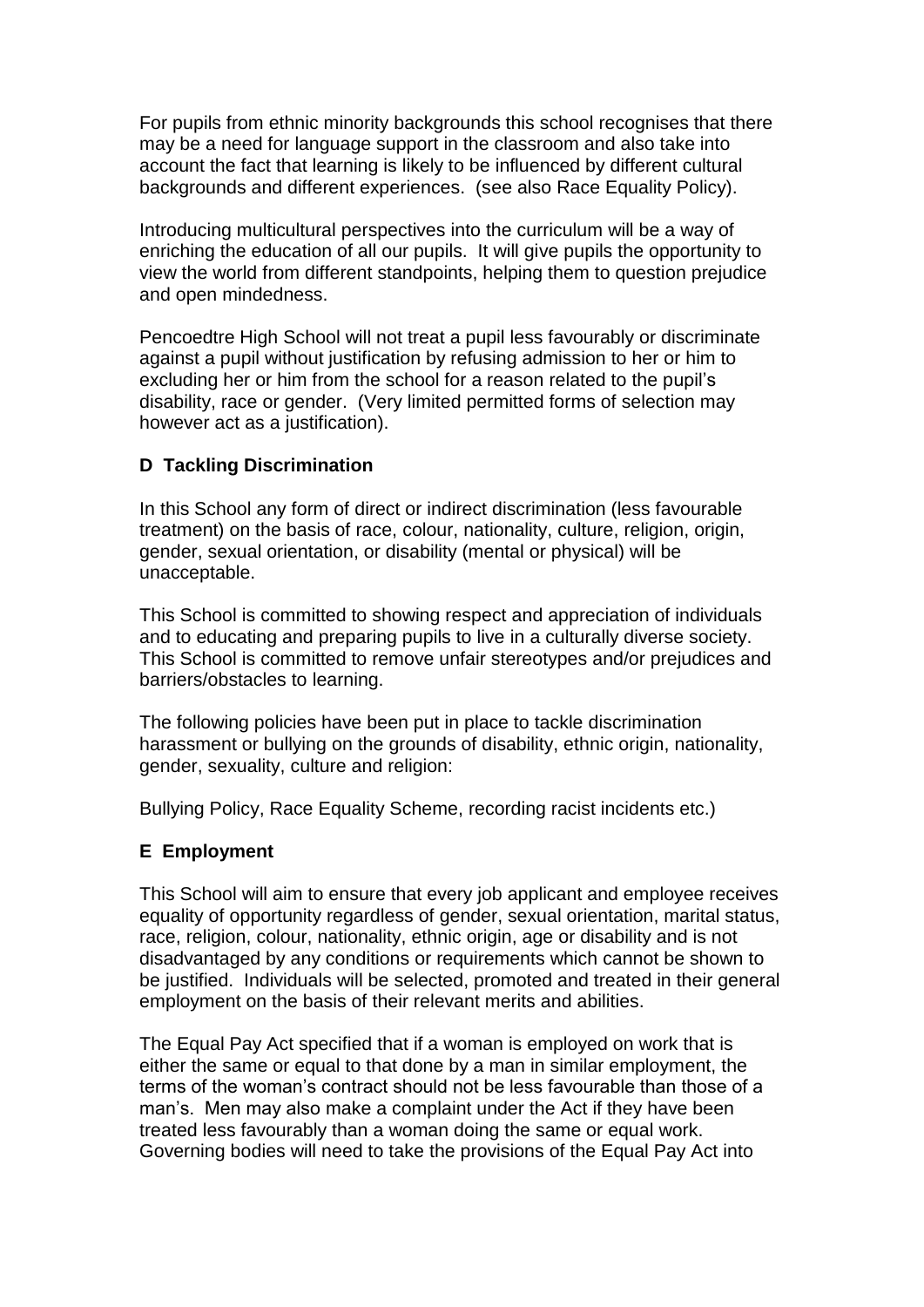For pupils from ethnic minority backgrounds this school recognises that there may be a need for language support in the classroom and also take into account the fact that learning is likely to be influenced by different cultural backgrounds and different experiences. (see also Race Equality Policy).

Introducing multicultural perspectives into the curriculum will be a way of enriching the education of all our pupils. It will give pupils the opportunity to view the world from different standpoints, helping them to question prejudice and open mindedness.

Pencoedtre High School will not treat a pupil less favourably or discriminate against a pupil without justification by refusing admission to her or him to excluding her or him from the school for a reason related to the pupil's disability, race or gender. (Very limited permitted forms of selection may however act as a justification).

# **D Tackling Discrimination**

In this School any form of direct or indirect discrimination (less favourable treatment) on the basis of race, colour, nationality, culture, religion, origin, gender, sexual orientation, or disability (mental or physical) will be unacceptable.

This School is committed to showing respect and appreciation of individuals and to educating and preparing pupils to live in a culturally diverse society. This School is committed to remove unfair stereotypes and/or prejudices and barriers/obstacles to learning.

The following policies have been put in place to tackle discrimination harassment or bullying on the grounds of disability, ethnic origin, nationality, gender, sexuality, culture and religion:

Bullying Policy, Race Equality Scheme, recording racist incidents etc.)

#### **E Employment**

This School will aim to ensure that every job applicant and employee receives equality of opportunity regardless of gender, sexual orientation, marital status, race, religion, colour, nationality, ethnic origin, age or disability and is not disadvantaged by any conditions or requirements which cannot be shown to be justified. Individuals will be selected, promoted and treated in their general employment on the basis of their relevant merits and abilities.

The Equal Pay Act specified that if a woman is employed on work that is either the same or equal to that done by a man in similar employment, the terms of the woman's contract should not be less favourable than those of a man's. Men may also make a complaint under the Act if they have been treated less favourably than a woman doing the same or equal work. Governing bodies will need to take the provisions of the Equal Pay Act into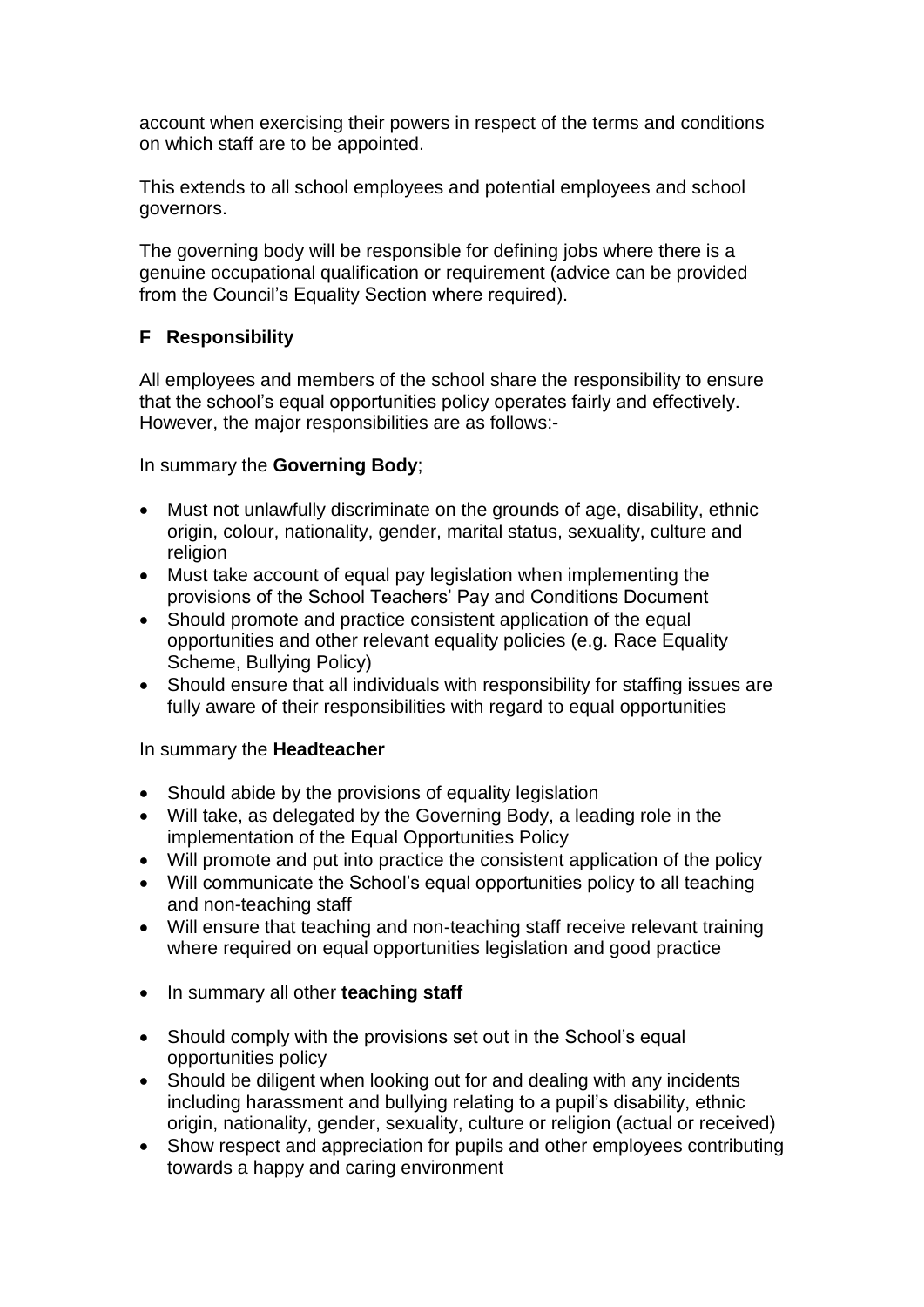account when exercising their powers in respect of the terms and conditions on which staff are to be appointed.

This extends to all school employees and potential employees and school governors.

The governing body will be responsible for defining jobs where there is a genuine occupational qualification or requirement (advice can be provided from the Council's Equality Section where required).

# **F Responsibility**

All employees and members of the school share the responsibility to ensure that the school's equal opportunities policy operates fairly and effectively. However, the major responsibilities are as follows:-

In summary the **Governing Body**;

- Must not unlawfully discriminate on the grounds of age, disability, ethnic origin, colour, nationality, gender, marital status, sexuality, culture and religion
- Must take account of equal pay legislation when implementing the provisions of the School Teachers' Pay and Conditions Document
- Should promote and practice consistent application of the equal opportunities and other relevant equality policies (e.g. Race Equality Scheme, Bullying Policy)
- Should ensure that all individuals with responsibility for staffing issues are fully aware of their responsibilities with regard to equal opportunities

#### In summary the **Headteacher**

- Should abide by the provisions of equality legislation
- Will take, as delegated by the Governing Body, a leading role in the implementation of the Equal Opportunities Policy
- Will promote and put into practice the consistent application of the policy
- Will communicate the School's equal opportunities policy to all teaching and non-teaching staff
- Will ensure that teaching and non-teaching staff receive relevant training where required on equal opportunities legislation and good practice
- In summary all other **teaching staff**
- Should comply with the provisions set out in the School's equal opportunities policy
- Should be diligent when looking out for and dealing with any incidents including harassment and bullying relating to a pupil's disability, ethnic origin, nationality, gender, sexuality, culture or religion (actual or received)
- Show respect and appreciation for pupils and other employees contributing towards a happy and caring environment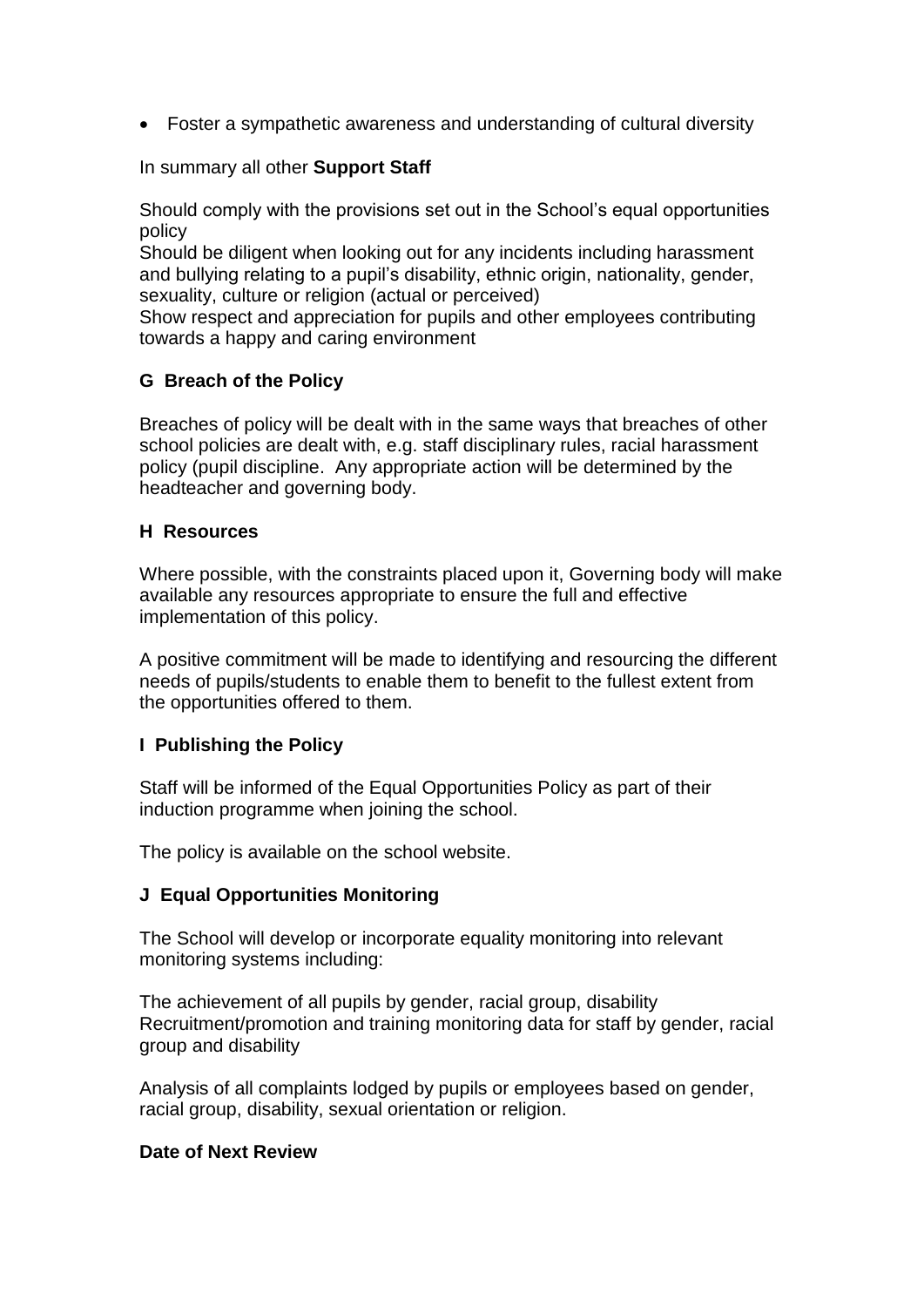• Foster a sympathetic awareness and understanding of cultural diversity

In summary all other **Support Staff**

Should comply with the provisions set out in the School's equal opportunities policy

Should be diligent when looking out for any incidents including harassment and bullying relating to a pupil's disability, ethnic origin, nationality, gender, sexuality, culture or religion (actual or perceived)

Show respect and appreciation for pupils and other employees contributing towards a happy and caring environment

#### **G Breach of the Policy**

Breaches of policy will be dealt with in the same ways that breaches of other school policies are dealt with, e.g. staff disciplinary rules, racial harassment policy (pupil discipline. Any appropriate action will be determined by the headteacher and governing body.

#### **H Resources**

Where possible, with the constraints placed upon it, Governing body will make available any resources appropriate to ensure the full and effective implementation of this policy.

A positive commitment will be made to identifying and resourcing the different needs of pupils/students to enable them to benefit to the fullest extent from the opportunities offered to them.

# **I Publishing the Policy**

Staff will be informed of the Equal Opportunities Policy as part of their induction programme when joining the school.

The policy is available on the school website.

#### **J Equal Opportunities Monitoring**

The School will develop or incorporate equality monitoring into relevant monitoring systems including:

The achievement of all pupils by gender, racial group, disability Recruitment/promotion and training monitoring data for staff by gender, racial group and disability

Analysis of all complaints lodged by pupils or employees based on gender, racial group, disability, sexual orientation or religion.

#### **Date of Next Review**